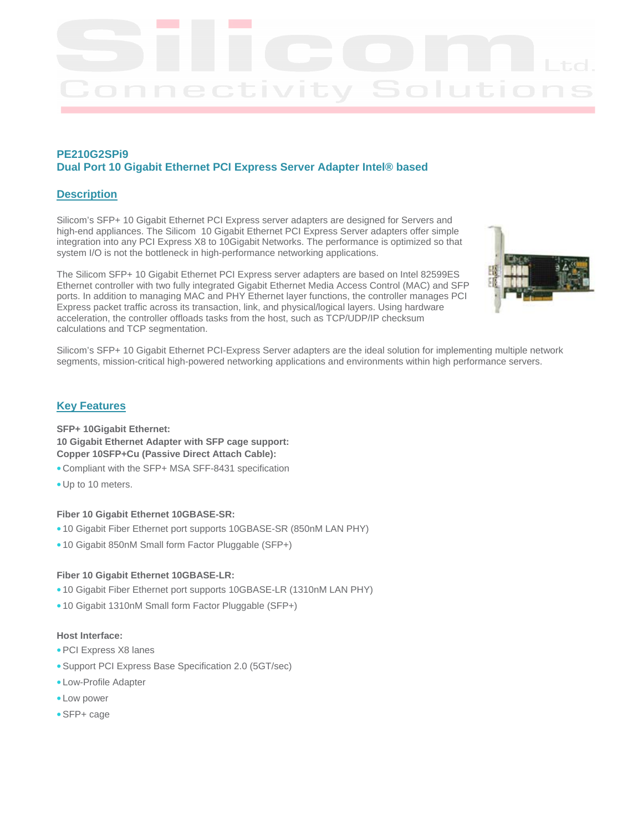# **PE210G2SPi9 Dual Port 10 Gigabit Ethernet PCI Express Server Adapter Intel® based**

# **Description**

Silicom's SFP+ 10 Gigabit Ethernet PCI Express server adapters are designed for Servers and high-end appliances. The Silicom 10 Gigabit Ethernet PCI Express Server adapters offer simple integration into any PCI Express X8 to 10Gigabit Networks. The performance is optimized so that system I/O is not the bottleneck in high-performance networking applications.

The Silicom SFP+ 10 Gigabit Ethernet PCI Express server adapters are based on Intel 82599ES Ethernet controller with two fully integrated Gigabit Ethernet Media Access Control (MAC) and SFP ports. In addition to managing MAC and PHY Ethernet layer functions, the controller manages PCI Express packet traffic across its transaction, link, and physical/logical layers. Using hardware acceleration, the controller offloads tasks from the host, such as TCP/UDP/IP checksum calculations and TCP segmentation.



Silicom's SFP+ 10 Gigabit Ethernet PCI-Express Server adapters are the ideal solution for implementing multiple network segments, mission-critical high-powered networking applications and environments within high performance servers.

# **Key Features**

## **SFP+ 10Gigabit Ethernet: 10 Gigabit Ethernet Adapter with SFP cage support: Copper 10SFP+Cu (Passive Direct Attach Cable):**

- Compliant with the SFP+ MSA SFF-8431 specification
- Up to 10 meters.

#### **Fiber 10 Gigabit Ethernet 10GBASE-SR:**

- 10 Gigabit Fiber Ethernet port supports 10GBASE-SR (850nM LAN PHY)
- 10 Gigabit 850nM Small form Factor Pluggable (SFP+)

#### **Fiber 10 Gigabit Ethernet 10GBASE-LR:**

- 10 Gigabit Fiber Ethernet port supports 10GBASE-LR (1310nM LAN PHY)
- 10 Gigabit 1310nM Small form Factor Pluggable (SFP+)

## **Host Interface:**

- PCI Express X8 lanes
- Support PCI Express Base Specification 2.0 (5GT/sec)
- Low-Profile Adapter
- Low power
- SFP+ cage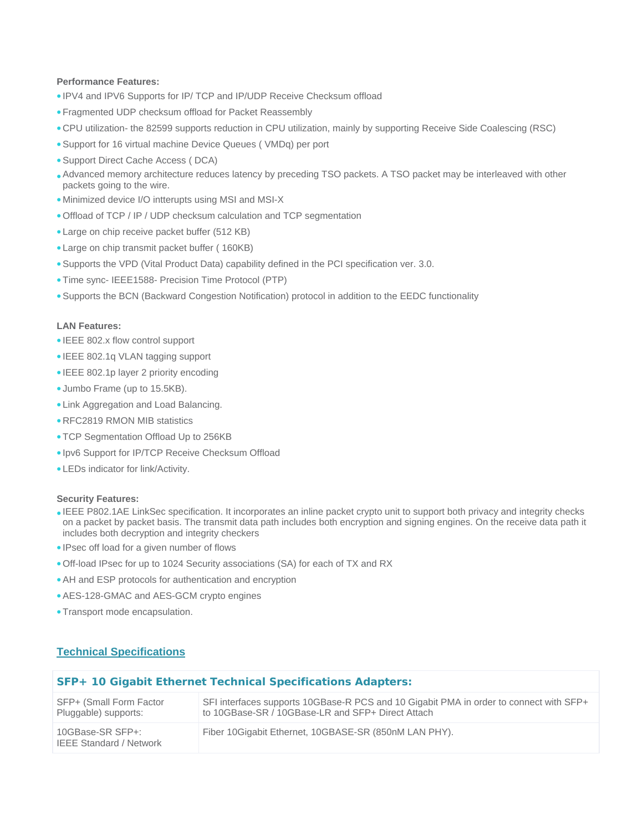#### **Performance Features:**

- IPV4 and IPV6 Supports for IP/ TCP and IP/UDP Receive Checksum offload
- Fragmented UDP checksum offload for Packet Reassembly
- CPU utilization- the 82599 supports reduction in CPU utilization, mainly by supporting Receive Side Coalescing (RSC)
- Support for 16 virtual machine Device Queues ( VMDq) per port
- Support Direct Cache Access ( DCA)
- Advanced memory architecture reduces latency by preceding TSO packets. A TSO packet may be interleaved with other packets going to the wire.
- Minimized device I/O intterupts using MSI and MSI-X
- Offload of TCP / IP / UDP checksum calculation and TCP segmentation
- Large on chip receive packet buffer (512 KB)
- Large on chip transmit packet buffer ( 160KB)
- Supports the VPD (Vital Product Data) capability defined in the PCI specification ver. 3.0.
- Time sync- IEEE1588- Precision Time Protocol (PTP)
- Supports the BCN (Backward Congestion Notification) protocol in addition to the EEDC functionality

#### **LAN Features:**

- IEEE 802.x flow control support
- IEEE 802.1q VLAN tagging support
- IEEE 802.1p layer 2 priority encoding
- Jumbo Frame (up to 15.5KB).
- Link Aggregation and Load Balancing.
- RFC2819 RMON MIB statistics
- TCP Segmentation Offload Up to 256KB
- Ipv6 Support for IP/TCP Receive Checksum Offload
- LEDs indicator for link/Activity.

#### **Security Features:**

- IEEE P802.1AE LinkSec specification. It incorporates an inline packet crypto unit to support both privacy and integrity checks on a packet by packet basis. The transmit data path includes both encryption and signing engines. On the receive data path it includes both decryption and integrity checkers
- IPsec off load for a given number of flows
- Off-load IPsec for up to 1024 Security associations (SA) for each of TX and RX
- AH and ESP protocols for authentication and encryption
- AES-128-GMAC and AES-GCM crypto engines
- Transport mode encapsulation.

# **Technical Specifications**

| <b>SFP+ 10 Gigabit Ethernet Technical Specifications Adapters:</b> |                                                                                                                                             |  |
|--------------------------------------------------------------------|---------------------------------------------------------------------------------------------------------------------------------------------|--|
| SFP+ (Small Form Factor<br>Pluggable) supports:                    | SFI interfaces supports 10GBase-R PCS and 10 Gigabit PMA in order to connect with SFP+<br>to 10GBase-SR / 10GBase-LR and SFP+ Direct Attach |  |
| 10GBase-SR SFP+:<br><b>IEEE Standard / Network</b>                 | Fiber 10 Gigabit Ethernet, 10 GBASE-SR (850 nM LAN PHY).                                                                                    |  |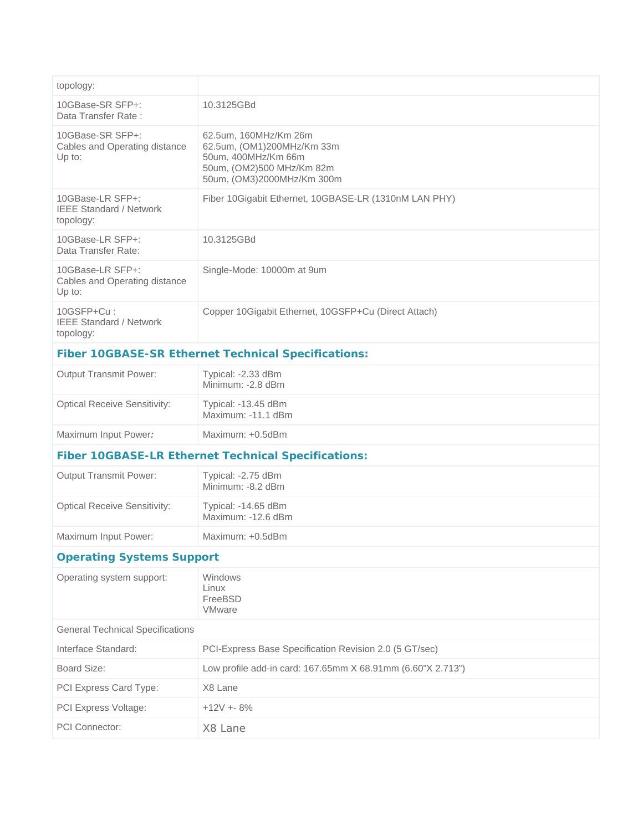| topology:                                                       |                                                                                                                                       |  |  |  |
|-----------------------------------------------------------------|---------------------------------------------------------------------------------------------------------------------------------------|--|--|--|
| 10GBase-SR SFP+:<br>Data Transfer Rate:                         | 10.3125GBd                                                                                                                            |  |  |  |
| 10GBase-SR SFP+:<br>Cables and Operating distance<br>Up to:     | 62.5um, 160MHz/Km 26m<br>62.5um, (OM1)200MHz/Km 33m<br>50um, 400MHz/Km 66m<br>50um, (OM2)500 MHz/Km 82m<br>50um, (OM3)2000MHz/Km 300m |  |  |  |
| 10GBase-LR SFP+:<br><b>IEEE Standard / Network</b><br>topology: | Fiber 10Gigabit Ethernet, 10GBASE-LR (1310nM LAN PHY)                                                                                 |  |  |  |
| 10GBase-LR SFP+:<br>Data Transfer Rate:                         | 10.3125GBd                                                                                                                            |  |  |  |
| 10GBase-LR SFP+:<br>Cables and Operating distance<br>Up to:     | Single-Mode: 10000m at 9um                                                                                                            |  |  |  |
| 10GSFP+Cu:<br><b>IEEE Standard / Network</b><br>topology:       | Copper 10Gigabit Ethernet, 10GSFP+Cu (Direct Attach)                                                                                  |  |  |  |
| <b>Fiber 10GBASE-SR Ethernet Technical Specifications:</b>      |                                                                                                                                       |  |  |  |
| <b>Output Transmit Power:</b>                                   | Typical: -2.33 dBm<br>Minimum: -2.8 dBm                                                                                               |  |  |  |
| <b>Optical Receive Sensitivity:</b>                             | Typical: -13.45 dBm<br>Maximum: -11.1 dBm                                                                                             |  |  |  |
| Maximum Input Power:                                            | Maximum: +0.5dBm                                                                                                                      |  |  |  |
| <b>Fiber 10GBASE-LR Ethernet Technical Specifications:</b>      |                                                                                                                                       |  |  |  |
| <b>Output Transmit Power:</b>                                   | Typical: -2.75 dBm<br>Minimum: -8.2 dBm                                                                                               |  |  |  |
| <b>Optical Receive Sensitivity:</b>                             | Typical: -14.65 dBm<br>Maximum: -12.6 dBm                                                                                             |  |  |  |
| Maximum Input Power:                                            | Maximum: +0.5dBm                                                                                                                      |  |  |  |
| <b>Operating Systems Support</b>                                |                                                                                                                                       |  |  |  |
| Operating system support:                                       | Windows<br>Linux<br>FreeBSD<br><b>VMware</b>                                                                                          |  |  |  |
| <b>General Technical Specifications</b>                         |                                                                                                                                       |  |  |  |
| Interface Standard:                                             | PCI-Express Base Specification Revision 2.0 (5 GT/sec)                                                                                |  |  |  |
| Board Size:                                                     | Low profile add-in card: 167.65mm X 68.91mm (6.60"X 2.713")                                                                           |  |  |  |
| PCI Express Card Type:                                          | X8 Lane                                                                                                                               |  |  |  |
| PCI Express Voltage:                                            | $+12V + 8%$                                                                                                                           |  |  |  |
| PCI Connector:                                                  | X8 Lane                                                                                                                               |  |  |  |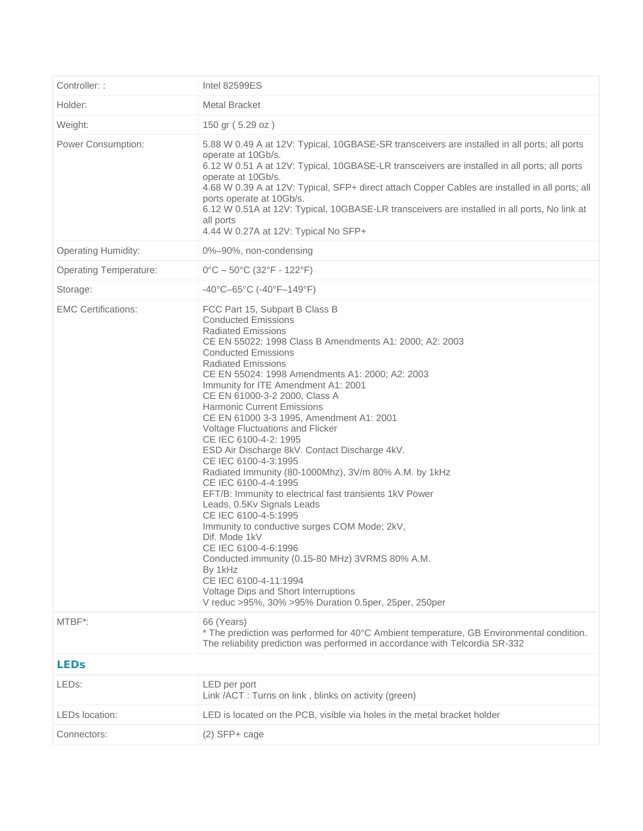| Controller: :                 | <b>Intel 82599ES</b>                                                                                                                                                                                                                                                                                                                                                                                                                                                                                                                                                                                                                                                                                                                                                                                                                                                                                                                                                                                                                                 |  |
|-------------------------------|------------------------------------------------------------------------------------------------------------------------------------------------------------------------------------------------------------------------------------------------------------------------------------------------------------------------------------------------------------------------------------------------------------------------------------------------------------------------------------------------------------------------------------------------------------------------------------------------------------------------------------------------------------------------------------------------------------------------------------------------------------------------------------------------------------------------------------------------------------------------------------------------------------------------------------------------------------------------------------------------------------------------------------------------------|--|
| Holder:                       | <b>Metal Bracket</b>                                                                                                                                                                                                                                                                                                                                                                                                                                                                                                                                                                                                                                                                                                                                                                                                                                                                                                                                                                                                                                 |  |
| Weight:                       | 150 gr (5.29 oz)                                                                                                                                                                                                                                                                                                                                                                                                                                                                                                                                                                                                                                                                                                                                                                                                                                                                                                                                                                                                                                     |  |
| Power Consumption:            | 5.88 W 0.49 A at 12V: Typical, 10GBASE-SR transceivers are installed in all ports; all ports<br>operate at 10Gb/s.<br>6.12 W 0.51 A at 12V: Typical, 10GBASE-LR transceivers are installed in all ports; all ports<br>operate at 10Gb/s.<br>4.68 W 0.39 A at 12V: Typical, SFP+ direct attach Copper Cables are installed in all ports; all<br>ports operate at 10Gb/s.<br>6.12 W 0.51A at 12V: Typical, 10GBASE-LR transceivers are installed in all ports, No link at<br>all ports<br>4.44 W 0.27A at 12V: Typical No SFP+                                                                                                                                                                                                                                                                                                                                                                                                                                                                                                                         |  |
| <b>Operating Humidity:</b>    | 0%-90%, non-condensing                                                                                                                                                                                                                                                                                                                                                                                                                                                                                                                                                                                                                                                                                                                                                                                                                                                                                                                                                                                                                               |  |
| <b>Operating Temperature:</b> | $0^{\circ}$ C – 50 $^{\circ}$ C (32 $^{\circ}$ F - 122 $^{\circ}$ F)                                                                                                                                                                                                                                                                                                                                                                                                                                                                                                                                                                                                                                                                                                                                                                                                                                                                                                                                                                                 |  |
| Storage:                      | $-40^{\circ}$ C $-65^{\circ}$ C ( $-40^{\circ}$ F $-149^{\circ}$ F)                                                                                                                                                                                                                                                                                                                                                                                                                                                                                                                                                                                                                                                                                                                                                                                                                                                                                                                                                                                  |  |
| <b>EMC Certifications:</b>    | FCC Part 15, Subpart B Class B<br><b>Conducted Emissions</b><br><b>Radiated Emissions</b><br>CE EN 55022: 1998 Class B Amendments A1: 2000: A2: 2003<br><b>Conducted Emissions</b><br><b>Radiated Emissions</b><br>CE EN 55024: 1998 Amendments A1: 2000; A2: 2003<br>Immunity for ITE Amendment A1: 2001<br>CE EN 61000-3-2 2000, Class A<br><b>Harmonic Current Emissions</b><br>CE EN 61000 3-3 1995, Amendment A1: 2001<br>Voltage Fluctuations and Flicker<br>CE IEC 6100-4-2: 1995<br>ESD Air Discharge 8kV. Contact Discharge 4kV.<br>CE IEC 6100-4-3:1995<br>Radiated Immunity (80-1000Mhz), 3V/m 80% A.M. by 1kHz<br>CE IEC 6100-4-4:1995<br>EFT/B: Immunity to electrical fast transients 1kV Power<br>Leads, 0.5Kv Signals Leads<br>CE IEC 6100-4-5:1995<br>Immunity to conductive surges COM Mode; 2kV,<br>Dif. Mode 1kV<br>CE IEC 6100-4-6:1996<br>Conducted immunity (0.15-80 MHz) 3VRMS 80% A.M.<br>By 1kHz<br>CE IEC 6100-4-11:1994<br>Voltage Dips and Short Interruptions<br>V reduc >95%, 30% >95% Duration 0.5per, 25per, 250per |  |
| MTBF*:                        | 66 (Years)<br>* The prediction was performed for 40°C Ambient temperature, GB Environmental condition.<br>The reliability prediction was performed in accordance with Telcordia SR-332                                                                                                                                                                                                                                                                                                                                                                                                                                                                                                                                                                                                                                                                                                                                                                                                                                                               |  |
| <b>LEDs</b>                   |                                                                                                                                                                                                                                                                                                                                                                                                                                                                                                                                                                                                                                                                                                                                                                                                                                                                                                                                                                                                                                                      |  |
| LED <sub>s:</sub>             | LED per port<br>Link /ACT: Turns on link, blinks on activity (green)                                                                                                                                                                                                                                                                                                                                                                                                                                                                                                                                                                                                                                                                                                                                                                                                                                                                                                                                                                                 |  |
| LEDs location:                | LED is located on the PCB, visible via holes in the metal bracket holder                                                                                                                                                                                                                                                                                                                                                                                                                                                                                                                                                                                                                                                                                                                                                                                                                                                                                                                                                                             |  |
| Connectors:                   | $(2)$ SFP+ cage                                                                                                                                                                                                                                                                                                                                                                                                                                                                                                                                                                                                                                                                                                                                                                                                                                                                                                                                                                                                                                      |  |